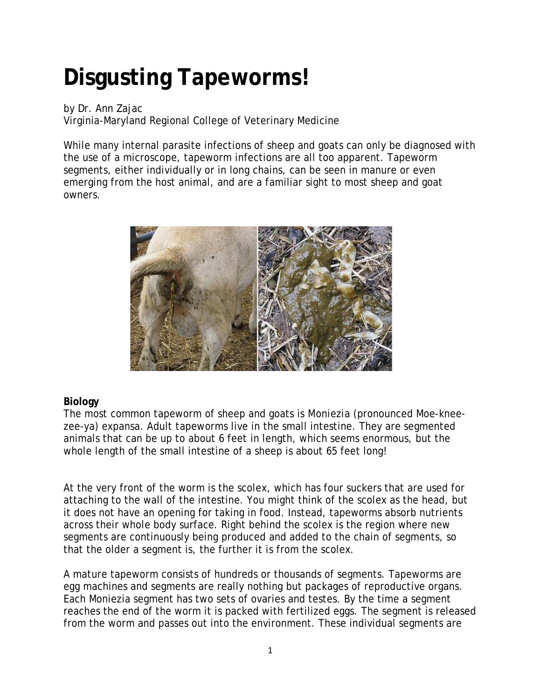## **Disgusting Tapeworms!**

by Dr. Ann Zajac Virginia-Maryland Regional College of Veterinary Medicine

While many internal parasite infections of sheep and goats can only be diagnosed with the use of a microscope, tapeworm infections are all too apparent. Tapeworm segments, either individually or in long chains, can be seen in manure or even emerging from the host animal, and are a familiar sight to most sheep and goat owners.



## **Biology**

The most common tapeworm of sheep and goats is *Moniezia* (pronounced Moe-kneezee-ya) *expansa*. Adult tapeworms live in the small intestine. They are segmented animals that can be up to about 6 feet in length, which seems enormous, but the whole length of the small intestine of a sheep is about 65 feet long!

At the very front of the worm is the scolex, which has four suckers that are used for attaching to the wall of the intestine. You might think of the scolex as the head, but it does not have an opening for taking in food. Instead, tapeworms absorb nutrients across their whole body surface. Right behind the scolex is the region where new segments are continuously being produced and added to the chain of segments, so that the older a segment is, the further it is from the scolex.

A mature tapeworm consists of hundreds or thousands of segments. Tapeworms are egg machines and segments are really nothing but packages of reproductive organs. Each Moniezia segment has two sets of ovaries and testes. By the time a segment reaches the end of the worm it is packed with fertilized eggs. The segment is released from the worm and passes out into the environment. These individual segments are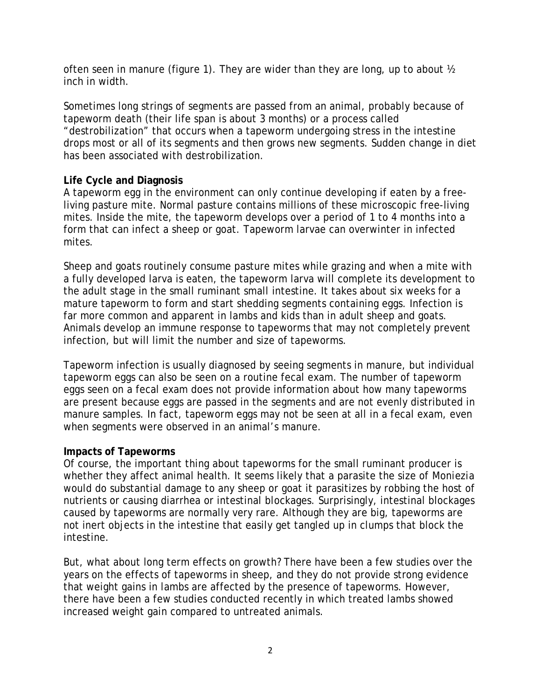often seen in manure (figure 1). They are wider than they are long, up to about ½ inch in width.

Sometimes long strings of segments are passed from an animal, probably because of tapeworm death (their life span is about 3 months) or a process called "destrobilization" that occurs when a tapeworm undergoing stress in the intestine drops most or all of its segments and then grows new segments. Sudden change in diet has been associated with destrobilization.

## **Life Cycle and Diagnosis**

A tapeworm egg in the environment can only continue developing if eaten by a freeliving pasture mite. Normal pasture contains millions of these microscopic free-living mites. Inside the mite, the tapeworm develops over a period of 1 to 4 months into a form that can infect a sheep or goat. Tapeworm larvae can overwinter in infected mites.

Sheep and goats routinely consume pasture mites while grazing and when a mite with a fully developed larva is eaten, the tapeworm larva will complete its development to the adult stage in the small ruminant small intestine. It takes about six weeks for a mature tapeworm to form and start shedding segments containing eggs. Infection is far more common and apparent in lambs and kids than in adult sheep and goats. Animals develop an immune response to tapeworms that may not completely prevent infection, but will limit the number and size of tapeworms.

Tapeworm infection is usually diagnosed by seeing segments in manure, but individual tapeworm eggs can also be seen on a routine fecal exam. The number of tapeworm eggs seen on a fecal exam does not provide information about how many tapeworms are present because eggs are passed in the segments and are not evenly distributed in manure samples. In fact, tapeworm eggs may not be seen at all in a fecal exam, even when segments were observed in an animal's manure.

## **Impacts of Tapeworms**

Of course, the important thing about tapeworms for the small ruminant producer is whether they affect animal health. It seems likely that a parasite the size of *Moniezia* would do substantial damage to any sheep or goat it parasitizes by robbing the host of nutrients or causing diarrhea or intestinal blockages. Surprisingly, intestinal blockages caused by tapeworms are normally very rare. Although they are big, tapeworms are not inert objects in the intestine that easily get tangled up in clumps that block the intestine.

But, what about long term effects on growth? There have been a few studies over the years on the effects of tapeworms in sheep, and they do not provide strong evidence that weight gains in lambs are affected by the presence of tapeworms. However, there have been a few studies conducted recently in which treated lambs showed increased weight gain compared to untreated animals.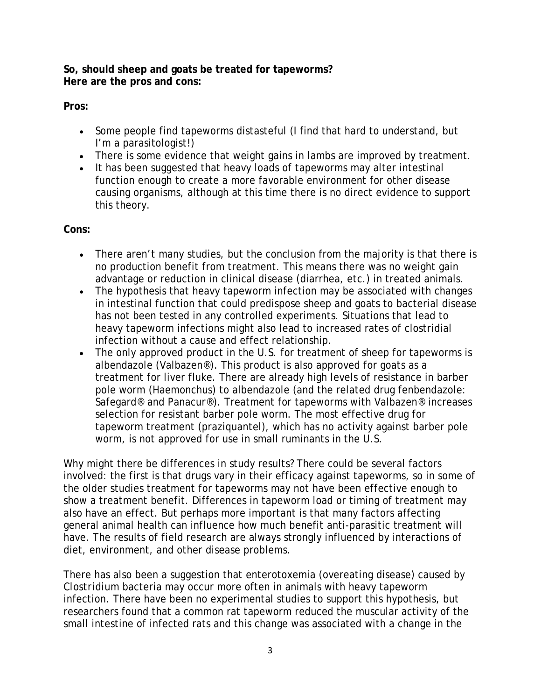**So, should sheep and goats be treated for tapeworms? Here are the pros and cons:**

**Pros:**

- Some people find tapeworms distasteful (I find that hard to understand, but I'm a parasitologist!)
- There is some evidence that weight gains in lambs are improved by treatment.
- It has been suggested that heavy loads of tapeworms may alter intestinal function enough to create a more favorable environment for other disease causing organisms, although at this time there is no direct evidence to support this theory.

**Cons:**

- There aren't many studies, but the conclusion from the majority is that there is no production benefit from treatment. This means there was no weight gain advantage or reduction in clinical disease (diarrhea, etc.) in treated animals.
- The hypothesis that heavy tapeworm infection may be associated with changes in intestinal function that could predispose sheep and goats to bacterial disease has not been tested in any controlled experiments. Situations that lead to heavy tapeworm infections might also lead to increased rates of clostridial infection without a cause and effect relationship.
- The only approved product in the U.S. for treatment of sheep for tapeworms is albendazole (Valbazen®). This product is also approved for goats as a treatment for liver fluke. There are already high levels of resistance in barber pole worm (Haemonchus) to albendazole (and the related drug fenbendazole: Safegard® and Panacur®). Treatment for tapeworms with Valbazen® increases selection for resistant barber pole worm. The most effective drug for tapeworm treatment (praziquantel), which has no activity against barber pole worm, is not approved for use in small ruminants in the U.S.

Why might there be differences in study results? There could be several factors involved: the first is that drugs vary in their efficacy against tapeworms, so in some of the older studies treatment for tapeworms may not have been effective enough to show a treatment benefit. Differences in tapeworm load or timing of treatment may also have an effect. But perhaps more important is that many factors affecting general animal health can influence how much benefit anti-parasitic treatment will have. The results of field research are always strongly influenced by interactions of diet, environment, and other disease problems.

There has also been a suggestion that enterotoxemia (overeating disease) caused by *Clostridium* bacteria may occur more often in animals with heavy tapeworm infection. There have been no experimental studies to support this hypothesis, but researchers found that a common rat tapeworm reduced the muscular activity of the small intestine of infected rats and this change was associated with a change in the